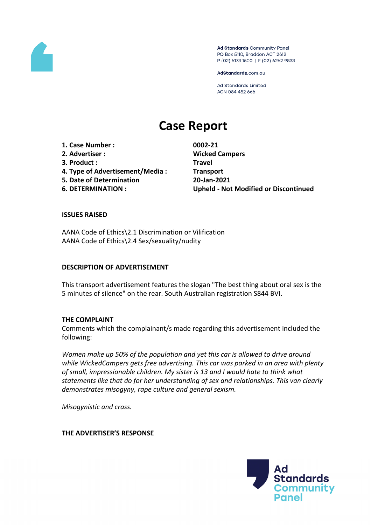

Ad Standards Community Panel PO Box 5110, Braddon ACT 2612 P (02) 6173 1500 | F (02) 6262 9833

AdStandards.com.au

**Ad Standards Limited** ACN 084 452 666

# **Case Report**

**1. Case Number : 0002-21 2. Advertiser : Wicked Campers 3. Product : Travel 4. Type of Advertisement/Media : Transport 5. Date of Determination 20-Jan-2021**

**6. DETERMINATION : Upheld - Not Modified or Discontinued**

#### **ISSUES RAISED**

AANA Code of Ethics\2.1 Discrimination or Vilification AANA Code of Ethics\2.4 Sex/sexuality/nudity

#### **DESCRIPTION OF ADVERTISEMENT**

This transport advertisement features the slogan "The best thing about oral sex is the 5 minutes of silence" on the rear. South Australian registration S844 BVI.

#### **THE COMPLAINT**

Comments which the complainant/s made regarding this advertisement included the following:

*Women make up 50% of the population and yet this car is allowed to drive around while WickedCampers gets free advertising. This car was parked in an area with plenty of small, impressionable children. My sister is 13 and I would hate to think what statements like that do for her understanding of sex and relationships. This van clearly demonstrates misogyny, rape culture and general sexism.*

*Misogynistic and crass.*

**THE ADVERTISER'S RESPONSE**

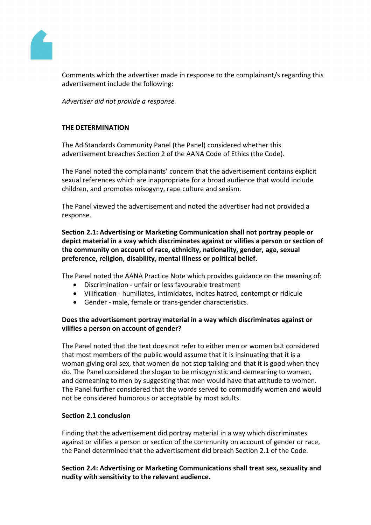

Comments which the advertiser made in response to the complainant/s regarding this advertisement include the following:

*Advertiser did not provide a response.*

# **THE DETERMINATION**

The Ad Standards Community Panel (the Panel) considered whether this advertisement breaches Section 2 of the AANA Code of Ethics (the Code).

The Panel noted the complainants' concern that the advertisement contains explicit sexual references which are inappropriate for a broad audience that would include children, and promotes misogyny, rape culture and sexism.

The Panel viewed the advertisement and noted the advertiser had not provided a response.

**Section 2.1: Advertising or Marketing Communication shall not portray people or depict material in a way which discriminates against or vilifies a person or section of the community on account of race, ethnicity, nationality, gender, age, sexual preference, religion, disability, mental illness or political belief.**

The Panel noted the AANA Practice Note which provides guidance on the meaning of:

- Discrimination unfair or less favourable treatment
- Vilification humiliates, intimidates, incites hatred, contempt or ridicule
- Gender male, female or trans-gender characteristics.

# **Does the advertisement portray material in a way which discriminates against or vilifies a person on account of gender?**

The Panel noted that the text does not refer to either men or women but considered that most members of the public would assume that it is insinuating that it is a woman giving oral sex, that women do not stop talking and that it is good when they do. The Panel considered the slogan to be misogynistic and demeaning to women, and demeaning to men by suggesting that men would have that attitude to women. The Panel further considered that the words served to commodify women and would not be considered humorous or acceptable by most adults.

## **Section 2.1 conclusion**

Finding that the advertisement did portray material in a way which discriminates against or vilifies a person or section of the community on account of gender or race, the Panel determined that the advertisement did breach Section 2.1 of the Code.

**Section 2.4: Advertising or Marketing Communications shall treat sex, sexuality and nudity with sensitivity to the relevant audience.**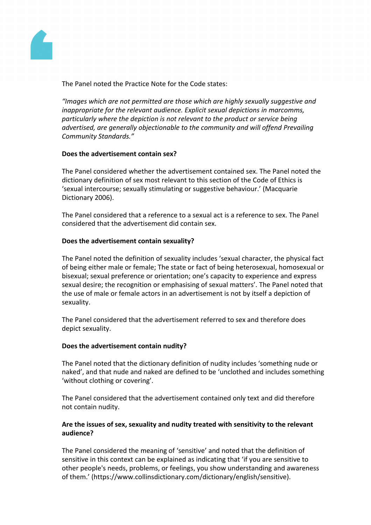

The Panel noted the Practice Note for the Code states:

*"Images which are not permitted are those which are highly sexually suggestive and inappropriate for the relevant audience. Explicit sexual depictions in marcomms, particularly where the depiction is not relevant to the product or service being advertised, are generally objectionable to the community and will offend Prevailing Community Standards."*

## **Does the advertisement contain sex?**

The Panel considered whether the advertisement contained sex. The Panel noted the dictionary definition of sex most relevant to this section of the Code of Ethics is 'sexual intercourse; sexually stimulating or suggestive behaviour.' (Macquarie Dictionary 2006).

The Panel considered that a reference to a sexual act is a reference to sex. The Panel considered that the advertisement did contain sex.

# **Does the advertisement contain sexuality?**

The Panel noted the definition of sexuality includes 'sexual character, the physical fact of being either male or female; The state or fact of being heterosexual, homosexual or bisexual; sexual preference or orientation; one's capacity to experience and express sexual desire; the recognition or emphasising of sexual matters'. The Panel noted that the use of male or female actors in an advertisement is not by itself a depiction of sexuality.

The Panel considered that the advertisement referred to sex and therefore does depict sexuality.

## **Does the advertisement contain nudity?**

The Panel noted that the dictionary definition of nudity includes 'something nude or naked', and that nude and naked are defined to be 'unclothed and includes something 'without clothing or covering'.

The Panel considered that the advertisement contained only text and did therefore not contain nudity.

# **Are the issues of sex, sexuality and nudity treated with sensitivity to the relevant audience?**

The Panel considered the meaning of 'sensitive' and noted that the definition of sensitive in this context can be explained as indicating that 'if you are sensitive to other people's needs, problems, or feelings, you show understanding and awareness of them.' (https://www.collinsdictionary.com/dictionary/english/sensitive).